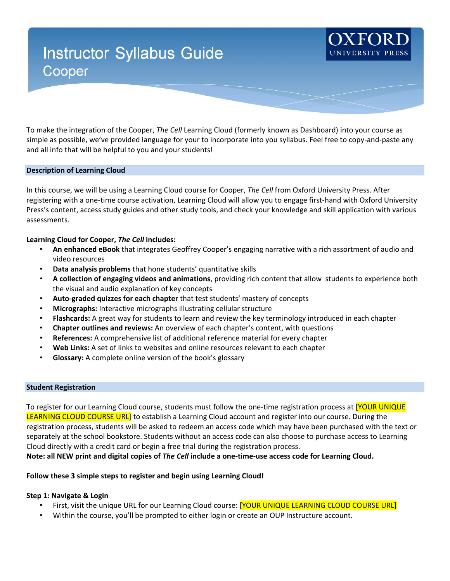# **Instructor Syllabus Guide** Cooper

To make the integration of the Cooper, *The Cell* Learning Cloud (formerly known as Dashboard) into your course as simple as possible, we've provided language for your to incorporate into you syllabus. Feel free to copy-and-paste any and all info that will be helpful to you and your students!

## **Description of Learning Cloud**

In this course, we will be using a Learning Cloud course for Cooper, *The Cell* from Oxford University Press. After registering with a one-time course activation, Learning Cloud will allow you to engage first-hand with Oxford University Press's content, access study guides and other study tools, and check your knowledge and skill application with various assessments.

## **Learning Cloud for Cooper,** *The Cell* **includes:**

- **An enhanced eBook** that integrates Geoffrey Cooper's engaging narrative with a rich assortment of audio and video resources
- **Data analysis problems** that hone students' quantitative skills
- **A collection of engaging videos and animations**, providing rich content that allow students to experience both the visual and audio explanation of key concepts
- **Auto-graded quizzes for each chapter** that test students' mastery of concepts
- **Micrographs:** Interactive micrographs illustrating cellular structure
- **Flashcards:** A great way for students to learn and review the key terminology introduced in each chapter
- **Chapter outlines and reviews:** An overview of each chapter's content, with questions
- **References:** A comprehensive list of additional reference material for every chapter
- **Web Links:** A set of links to websites and online resources relevant to each chapter
- **Glossary:** A complete online version of the book's glossary

#### **Student Registration**

To register for our Learning Cloud course, students must follow the one-time registration process at **[YOUR UNIQUE** LEARNING CLOUD COURSE URL] to establish a Learning Cloud account and register into our course. During the registration process, students will be asked to redeem an access code which may have been purchased with the text or separately at the school bookstore. Students without an access code can also choose to purchase access to Learning Cloud directly with a credit card or begin a free trial during the registration process.

**Note: all NEW print and digital copies of** *The Cell* **include a one-time-use access code for Learning Cloud.** 

### **Follow these 3 simple steps to register and begin using Learning Cloud!**

### **Step 1: Navigate & Login**

- First, visit the unique URL for our Learning Cloud course: **[YOUR UNIQUE LEARNING CLOUD COURSE URL]**
- Within the course, you'll be prompted to either login or create an OUP Instructure account.